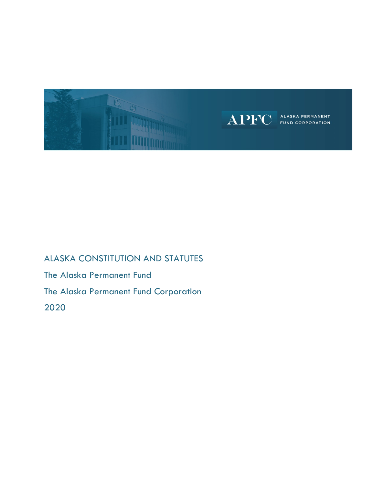

# ALASKA CONSTITUTION AND STATUTES The Alaska Permanent Fund The Alaska Permanent Fund Corporation 2020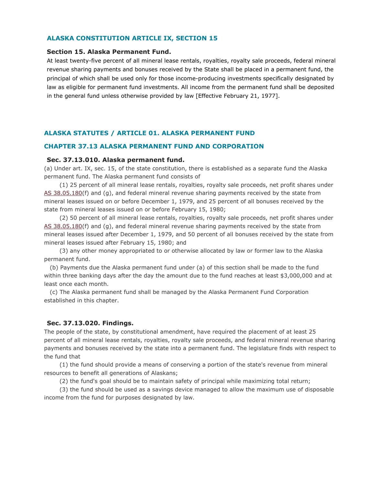## **ALASKA CONSTITUTION ARTICLE IX, SECTION 15**

#### **Section 15. Alaska Permanent Fund.**

At least twenty-five percent of all mineral lease rentals, royalties, royalty sale proceeds, federal mineral revenue sharing payments and bonuses received by the State shall be placed in a permanent fund, the principal of which shall be used only for those income-producing investments specifically designated by law as eligible for permanent fund investments. All income from the permanent fund shall be deposited in the general fund unless otherwise provided by law [Effective February 21, 1977].

## **ALASKA STATUTES / ARTICLE 01. ALASKA PERMANENT FUND**

#### **CHAPTER 37.13 ALASKA PERMANENT FUND AND CORPORATION**

#### **Sec. 37.13.010. Alaska permanent fund.**

(a) Under art. IX, sec. 15, of the state constitution, there is established as a separate fund the Alaska permanent fund. The Alaska permanent fund consists of

 (1) 25 percent of all mineral lease rentals, royalties, royalty sale proceeds, net profit shares under [AS 38.05.180\(](http://www.akleg.gov/basis/statutes.asp#38.05.180)f) and (g), and federal mineral revenue sharing payments received by the state from mineral leases issued on or before December 1, 1979, and 25 percent of all bonuses received by the state from mineral leases issued on or before February 15, 1980;

 (2) 50 percent of all mineral lease rentals, royalties, royalty sale proceeds, net profit shares under [AS 38.05.180\(](http://www.akleg.gov/basis/statutes.asp#38.05.180)f) and (g), and federal mineral revenue sharing payments received by the state from mineral leases issued after December 1, 1979, and 50 percent of all bonuses received by the state from mineral leases issued after February 15, 1980; and

 (3) any other money appropriated to or otherwise allocated by law or former law to the Alaska permanent fund.

 (b) Payments due the Alaska permanent fund under (a) of this section shall be made to the fund within three banking days after the day the amount due to the fund reaches at least \$3,000,000 and at least once each month.

 (c) The Alaska permanent fund shall be managed by the Alaska Permanent Fund Corporation established in this chapter.

## **Sec. 37.13.020. Findings.**

The people of the state, by constitutional amendment, have required the placement of at least 25 percent of all mineral lease rentals, royalties, royalty sale proceeds, and federal mineral revenue sharing payments and bonuses received by the state into a permanent fund. The legislature finds with respect to the fund that

 (1) the fund should provide a means of conserving a portion of the state's revenue from mineral resources to benefit all generations of Alaskans;

(2) the fund's goal should be to maintain safety of principal while maximizing total return;

 (3) the fund should be used as a savings device managed to allow the maximum use of disposable income from the fund for purposes designated by law.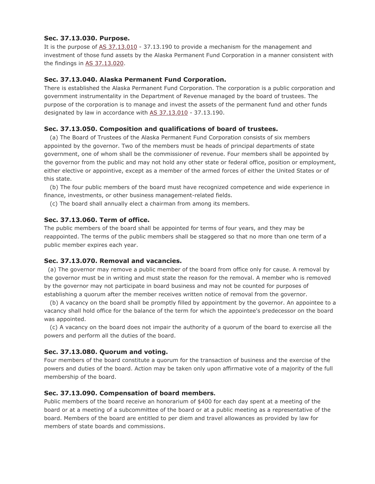# **Sec. 37.13.030. Purpose.**

It is the purpose of [AS 37.13.010](http://www.akleg.gov/basis/statutes.asp#37.13.010) - 37.13.190 to provide a mechanism for the management and investment of those fund assets by the Alaska Permanent Fund Corporation in a manner consistent with the findings in [AS 37.13.020.](http://www.akleg.gov/basis/statutes.asp#37.13.020)

# **Sec. 37.13.040. Alaska Permanent Fund Corporation.**

There is established the Alaska Permanent Fund Corporation. The corporation is a public corporation and government instrumentality in the Department of Revenue managed by the board of trustees. The purpose of the corporation is to manage and invest the assets of the permanent fund and other funds designated by law in accordance with [AS 37.13.010](http://www.akleg.gov/basis/statutes.asp#37.13.010) - 37.13.190.

# **Sec. 37.13.050. Composition and qualifications of board of trustees.**

 (a) The Board of Trustees of the Alaska Permanent Fund Corporation consists of six members appointed by the governor. Two of the members must be heads of principal departments of state government, one of whom shall be the commissioner of revenue. Four members shall be appointed by the governor from the public and may not hold any other state or federal office, position or employment, either elective or appointive, except as a member of the armed forces of either the United States or of this state.

 (b) The four public members of the board must have recognized competence and wide experience in finance, investments, or other business management-related fields.

(c) The board shall annually elect a chairman from among its members.

## **Sec. 37.13.060. Term of office.**

The public members of the board shall be appointed for terms of four years, and they may be reappointed. The terms of the public members shall be staggered so that no more than one term of a public member expires each year.

## **Sec. 37.13.070. Removal and vacancies.**

 (a) The governor may remove a public member of the board from office only for cause. A removal by the governor must be in writing and must state the reason for the removal. A member who is removed by the governor may not participate in board business and may not be counted for purposes of establishing a quorum after the member receives written notice of removal from the governor.

 (b) A vacancy on the board shall be promptly filled by appointment by the governor. An appointee to a vacancy shall hold office for the balance of the term for which the appointee's predecessor on the board was appointed.

 (c) A vacancy on the board does not impair the authority of a quorum of the board to exercise all the powers and perform all the duties of the board.

## **Sec. 37.13.080. Quorum and voting.**

Four members of the board constitute a quorum for the transaction of business and the exercise of the powers and duties of the board. Action may be taken only upon affirmative vote of a majority of the full membership of the board.

## **Sec. 37.13.090. Compensation of board members.**

Public members of the board receive an honorarium of \$400 for each day spent at a meeting of the board or at a meeting of a subcommittee of the board or at a public meeting as a representative of the board. Members of the board are entitled to per diem and travel allowances as provided by law for members of state boards and commissions.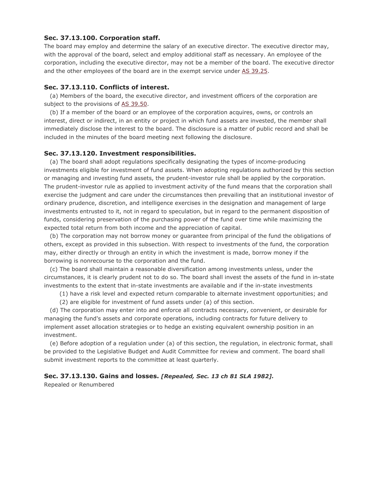## **Sec. 37.13.100. Corporation staff.**

The board may employ and determine the salary of an executive director. The executive director may, with the approval of the board, select and employ additional staff as necessary. An employee of the corporation, including the executive director, may not be a member of the board. The executive director and the other employees of the board are in the exempt service under [AS 39.25.](http://www.akleg.gov/basis/statutes.asp#39.25)

## **Sec. 37.13.110. Conflicts of interest.**

 (a) Members of the board, the executive director, and investment officers of the corporation are subject to the provisions of [AS 39.50.](http://www.akleg.gov/basis/statutes.asp#39.50)

 (b) If a member of the board or an employee of the corporation acquires, owns, or controls an interest, direct or indirect, in an entity or project in which fund assets are invested, the member shall immediately disclose the interest to the board. The disclosure is a matter of public record and shall be included in the minutes of the board meeting next following the disclosure.

#### **Sec. 37.13.120. Investment responsibilities.**

 (a) The board shall adopt regulations specifically designating the types of income-producing investments eligible for investment of fund assets. When adopting regulations authorized by this section or managing and investing fund assets, the prudent-investor rule shall be applied by the corporation. The prudent-investor rule as applied to investment activity of the fund means that the corporation shall exercise the judgment and care under the circumstances then prevailing that an institutional investor of ordinary prudence, discretion, and intelligence exercises in the designation and management of large investments entrusted to it, not in regard to speculation, but in regard to the permanent disposition of funds, considering preservation of the purchasing power of the fund over time while maximizing the expected total return from both income and the appreciation of capital.

 (b) The corporation may not borrow money or guarantee from principal of the fund the obligations of others, except as provided in this subsection. With respect to investments of the fund, the corporation may, either directly or through an entity in which the investment is made, borrow money if the borrowing is nonrecourse to the corporation and the fund.

 (c) The board shall maintain a reasonable diversification among investments unless, under the circumstances, it is clearly prudent not to do so. The board shall invest the assets of the fund in in-state investments to the extent that in-state investments are available and if the in-state investments

(1) have a risk level and expected return comparable to alternate investment opportunities; and

(2) are eligible for investment of fund assets under (a) of this section.

 (d) The corporation may enter into and enforce all contracts necessary, convenient, or desirable for managing the fund's assets and corporate operations, including contracts for future delivery to implement asset allocation strategies or to hedge an existing equivalent ownership position in an investment.

 (e) Before adoption of a regulation under (a) of this section, the regulation, in electronic format, shall be provided to the Legislative Budget and Audit Committee for review and comment. The board shall submit investment reports to the committee at least quarterly.

## **Sec. 37.13.130. Gains and losses.** *[Repealed, Sec. 13 ch 81 SLA 1982].*

Repealed or Renumbered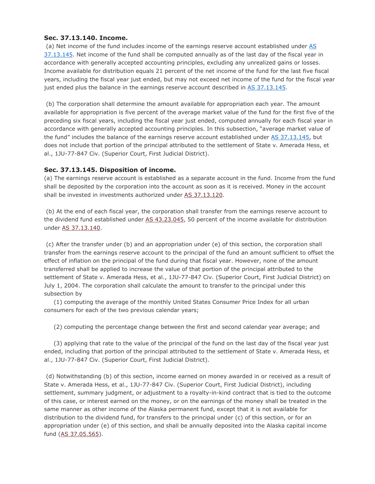# **Sec. 37.13.140. Income.**

(a) Net income of the fund includes income of the earnings reserve account established under AS [37.13.145.](http://www.akleg.gov/basis/statutes.asp#37.13.145) Net income of the fund shall be computed annually as of the last day of the fiscal year in accordance with generally accepted accounting principles, excluding any unrealized gains or losses. Income available for distribution equals 21 percent of the net income of the fund for the last five fiscal years, including the fiscal year just ended, but may not exceed net income of the fund for the fiscal year just ended plus the balance in the earnings reserve account described in [AS 37.13.145.](http://www.akleg.gov/basis/statutes.asp#37.13.145)

(b) The corporation shall determine the amount available for appropriation each year. The amount available for appropriation is five percent of the average market value of the fund for the first five of the preceding six fiscal years, including the fiscal year just ended, computed annually for each fiscal year in accordance with generally accepted accounting principles. In this subsection, "average market value of the fund" includes the balance of the earnings reserve account established under [AS 37.13.145,](http://www.akleg.gov/basis/statutes.asp#37.13.145) but does not include that portion of the principal attributed to the settlement of State v. Amerada Hess, et al., 1JU-77-847 Civ. (Superior Court, First Judicial District).

# **Sec. 37.13.145. Disposition of income.**

(a) The earnings reserve account is established as a separate account in the fund. Income from the fund shall be deposited by the corporation into the account as soon as it is received. Money in the account shall be invested in investments authorized under [AS 37.13.120.](http://www.akleg.gov/basis/statutes.asp#37.13.120)

(b) At the end of each fiscal year, the corporation shall transfer from the earnings reserve account to the dividend fund established under [AS 43.23.045,](http://www.akleg.gov/basis/statutes.asp#43.23.045) 50 percent of the income available for distribution under [AS 37.13.140.](http://www.akleg.gov/basis/statutes.asp#37.13.140)

(c) After the transfer under (b) and an appropriation under (e) of this section, the corporation shall transfer from the earnings reserve account to the principal of the fund an amount sufficient to offset the effect of inflation on the principal of the fund during that fiscal year. However, none of the amount transferred shall be applied to increase the value of that portion of the principal attributed to the settlement of State v. Amerada Hess, et al., 1JU-77-847 Civ. (Superior Court, First Judicial District) on July 1, 2004. The corporation shall calculate the amount to transfer to the principal under this subsection by

 (1) computing the average of the monthly United States Consumer Price Index for all urban consumers for each of the two previous calendar years;

(2) computing the percentage change between the first and second calendar year average; and

 (3) applying that rate to the value of the principal of the fund on the last day of the fiscal year just ended, including that portion of the principal attributed to the settlement of State v. Amerada Hess, et al., 1JU-77-847 Civ. (Superior Court, First Judicial District).

(d) Notwithstanding (b) of this section, income earned on money awarded in or received as a result of State v. Amerada Hess, et al., 1JU-77-847 Civ. (Superior Court, First Judicial District), including settlement, summary judgment, or adjustment to a royalty-in-kind contract that is tied to the outcome of this case, or interest earned on the money, or on the earnings of the money shall be treated in the same manner as other income of the Alaska permanent fund, except that it is not available for distribution to the dividend fund, for transfers to the principal under (c) of this section, or for an appropriation under (e) of this section, and shall be annually deposited into the Alaska capital income fund [\(AS 37.05.565\)](http://www.akleg.gov/basis/statutes.asp#37.05.565).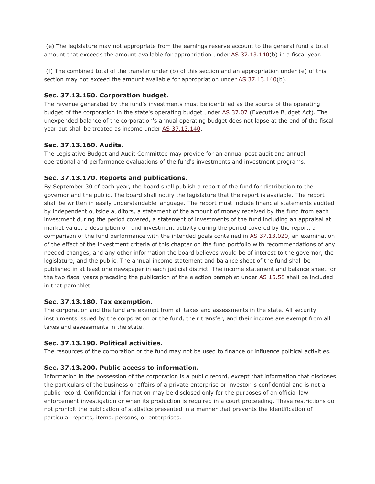(e) The legislature may not appropriate from the earnings reserve account to the general fund a total amount that exceeds the amount available for appropriation under [AS 37.13.140\(](http://www.akleg.gov/basis/statutes.asp#37.13.140)b) in a fiscal year.

(f) The combined total of the transfer under (b) of this section and an appropriation under (e) of this section may not exceed the amount available for appropriation under [AS 37.13.140\(](http://www.akleg.gov/basis/statutes.asp#37.13.140)b).

## **Sec. 37.13.150. Corporation budget.**

The revenue generated by the fund's investments must be identified as the source of the operating budget of the corporation in the state's operating budget under [AS 37.07](http://www.akleg.gov/basis/statutes.asp#37.07) (Executive Budget Act). The unexpended balance of the corporation's annual operating budget does not lapse at the end of the fiscal year but shall be treated as income under [AS 37.13.140.](http://www.akleg.gov/basis/statutes.asp#37.13.140)

# **Sec. 37.13.160. Audits.**

The Legislative Budget and Audit Committee may provide for an annual post audit and annual operational and performance evaluations of the fund's investments and investment programs.

# **Sec. 37.13.170. Reports and publications.**

By September 30 of each year, the board shall publish a report of the fund for distribution to the governor and the public. The board shall notify the legislature that the report is available. The report shall be written in easily understandable language. The report must include financial statements audited by independent outside auditors, a statement of the amount of money received by the fund from each investment during the period covered, a statement of investments of the fund including an appraisal at market value, a description of fund investment activity during the period covered by the report, a comparison of the fund performance with the intended goals contained in [AS 37.13.020,](http://www.akleg.gov/basis/statutes.asp#37.13.020) an examination of the effect of the investment criteria of this chapter on the fund portfolio with recommendations of any needed changes, and any other information the board believes would be of interest to the governor, the legislature, and the public. The annual income statement and balance sheet of the fund shall be published in at least one newspaper in each judicial district. The income statement and balance sheet for the two fiscal years preceding the publication of the election pamphlet under [AS 15.58](http://www.akleg.gov/basis/statutes.asp#15.58) shall be included in that pamphlet.

## **Sec. 37.13.180. Tax exemption.**

The corporation and the fund are exempt from all taxes and assessments in the state. All security instruments issued by the corporation or the fund, their transfer, and their income are exempt from all taxes and assessments in the state.

# **Sec. 37.13.190. Political activities.**

The resources of the corporation or the fund may not be used to finance or influence political activities.

## **Sec. 37.13.200. Public access to information.**

Information in the possession of the corporation is a public record, except that information that discloses the particulars of the business or affairs of a private enterprise or investor is confidential and is not a public record. Confidential information may be disclosed only for the purposes of an official law enforcement investigation or when its production is required in a court proceeding. These restrictions do not prohibit the publication of statistics presented in a manner that prevents the identification of particular reports, items, persons, or enterprises.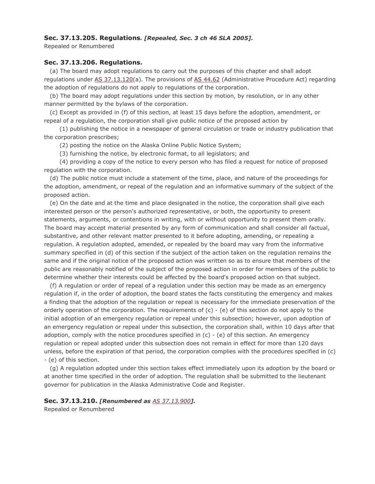## **Sec. 37.13.205. Regulations***. [Repealed, Sec. 3 ch 46 SLA 2005].*

Repealed or Renumbered

### **Sec. 37.13.206. Regulations.**

 (a) The board may adopt regulations to carry out the purposes of this chapter and shall adopt regulations under [AS 37.13.120\(](http://www.akleg.gov/basis/statutes.asp#37.13.120)a). The provisions of [AS 44.62](http://www.akleg.gov/basis/statutes.asp#44.62) (Administrative Procedure Act) regarding the adoption of regulations do not apply to regulations of the corporation.

 (b) The board may adopt regulations under this section by motion, by resolution, or in any other manner permitted by the bylaws of the corporation.

 (c) Except as provided in (f) of this section, at least 15 days before the adoption, amendment, or repeal of a regulation, the corporation shall give public notice of the proposed action by

 (1) publishing the notice in a newspaper of general circulation or trade or industry publication that the corporation prescribes;

(2) posting the notice on the Alaska Online Public Notice System;

(3) furnishing the notice, by electronic format, to all legislators; and

 (4) providing a copy of the notice to every person who has filed a request for notice of proposed regulation with the corporation.

 (d) The public notice must include a statement of the time, place, and nature of the proceedings for the adoption, amendment, or repeal of the regulation and an informative summary of the subject of the proposed action.

 (e) On the date and at the time and place designated in the notice, the corporation shall give each interested person or the person's authorized representative, or both, the opportunity to present statements, arguments, or contentions in writing, with or without opportunity to present them orally. The board may accept material presented by any form of communication and shall consider all factual, substantive, and other relevant matter presented to it before adopting, amending, or repealing a regulation. A regulation adopted, amended, or repealed by the board may vary from the informative summary specified in (d) of this section if the subject of the action taken on the regulation remains the same and if the original notice of the proposed action was written so as to ensure that members of the public are reasonably notified of the subject of the proposed action in order for members of the public to determine whether their interests could be affected by the board's proposed action on that subject.

 (f) A regulation or order of repeal of a regulation under this section may be made as an emergency regulation if, in the order of adoption, the board states the facts constituting the emergency and makes a finding that the adoption of the regulation or repeal is necessary for the immediate preservation of the orderly operation of the corporation. The requirements of  $(c)$  -  $(e)$  of this section do not apply to the initial adoption of an emergency regulation or repeal under this subsection; however, upon adoption of an emergency regulation or repeal under this subsection, the corporation shall, within 10 days after that adoption, comply with the notice procedures specified in  $(c)$  -  $(e)$  of this section. An emergency regulation or repeal adopted under this subsection does not remain in effect for more than 120 days unless, before the expiration of that period, the corporation complies with the procedures specified in (c) - (e) of this section.

 (g) A regulation adopted under this section takes effect immediately upon its adoption by the board or at another time specified in the order of adoption. The regulation shall be submitted to the lieutenant governor for publication in the Alaska Administrative Code and Register.

## **Sec. 37.13.210.** *[Renumbered as [AS 37.13.900](http://www.akleg.gov/basis/statutes.asp#37.13.900)].*

Repealed or Renumbered